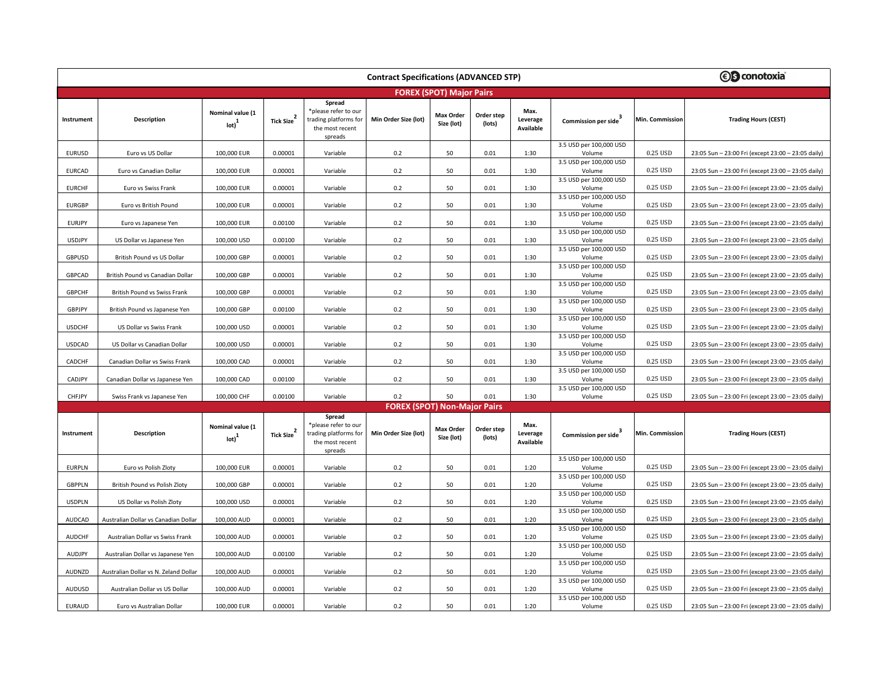| <b><i>S</i></b> conotoxia<br><b>Contract Specifications (ADVANCED STP)</b> |                                       |                                       |                        |                                                                                       |                                     |                                |                      |                                      |                                                              |                 |                                                    |  |
|----------------------------------------------------------------------------|---------------------------------------|---------------------------------------|------------------------|---------------------------------------------------------------------------------------|-------------------------------------|--------------------------------|----------------------|--------------------------------------|--------------------------------------------------------------|-----------------|----------------------------------------------------|--|
|                                                                            | <b>FOREX (SPOT) Major Pairs</b>       |                                       |                        |                                                                                       |                                     |                                |                      |                                      |                                                              |                 |                                                    |  |
| Instrument                                                                 | Description                           | Nominal value (1<br>$_{\text{lot}}^1$ | Tick Size <sup>2</sup> | Spread<br>*please refer to our<br>trading platforms for<br>the most recent<br>spreads | Min Order Size (lot)                | <b>Max Order</b><br>Size (lot) | Order step<br>(lots) | Max.<br>Leverage<br>Available        | Commission per side                                          | Min. Commission | <b>Trading Hours (CEST)</b>                        |  |
| <b>EURUSD</b>                                                              | Euro vs US Dollar                     | 100,000 EUR                           | 0.00001                | Variable                                                                              | 0.2                                 | 50                             | 0.01                 | 1:30                                 | 3.5 USD per 100,000 USD<br>Volume                            | 0.25 USD        | 23:05 Sun - 23:00 Fri (except 23:00 - 23:05 daily) |  |
| <b>EURCAD</b>                                                              | Euro vs Canadian Dollar               | 100,000 EUR                           | 0.00001                | Variable                                                                              | 0.2                                 | 50                             | 0.01                 | 1:30                                 | 3.5 USD per 100,000 USD<br>Volume                            | 0.25 USD        | 23:05 Sun - 23:00 Fri (except 23:00 - 23:05 daily) |  |
| <b>EURCHF</b>                                                              | Euro vs Swiss Frank                   | 100,000 EUR                           | 0.00001                | Variable                                                                              | 0.2                                 | 50                             | 0.01                 | 1:30                                 | 3.5 USD per 100,000 USD<br>Volume                            | 0.25 USD        | 23:05 Sun - 23:00 Fri (except 23:00 - 23:05 daily) |  |
| <b>EURGBP</b>                                                              | Euro vs British Pound                 | 100,000 EUR                           | 0.00001                | Variable                                                                              | 0.2                                 | 50                             | 0.01                 | 1:30                                 | 3.5 USD per 100,000 USD<br>Volume                            | 0.25 USD        | 23:05 Sun - 23:00 Fri (except 23:00 - 23:05 daily) |  |
| <b>EURJPY</b>                                                              | Euro vs Japanese Yen                  | 100,000 EUR                           | 0.00100                | Variable                                                                              | 0.2                                 | 50                             | 0.01                 | 1:30                                 | 3.5 USD per 100,000 USD<br>Volume                            | 0.25 USD        | 23:05 Sun - 23:00 Fri (except 23:00 - 23:05 daily) |  |
| <b>USDJPY</b>                                                              | US Dollar vs Japanese Yen             | 100,000 USD                           | 0.00100                | Variable                                                                              | 0.2                                 | 50                             | 0.01                 | 1:30                                 | 3.5 USD per 100,000 USD<br>Volume                            | 0.25 USD        | 23:05 Sun - 23:00 Fri (except 23:00 - 23:05 daily) |  |
| GBPUSD                                                                     | British Pound vs US Dollar            | 100,000 GBP                           | 0.00001                | Variable                                                                              | 0.2                                 | 50                             | 0.01                 | 1:30                                 | 3.5 USD per 100,000 USD<br>Volume                            | 0.25 USD        | 23:05 Sun - 23:00 Fri (except 23:00 - 23:05 daily) |  |
| GBPCAD                                                                     | British Pound vs Canadian Dollar      | 100,000 GBP                           | 0.00001                | Variable                                                                              | 0.2                                 | 50                             | 0.01                 | 1:30                                 | 3.5 USD per 100,000 USD<br>Volume                            | 0.25 USD        | 23:05 Sun - 23:00 Fri (except 23:00 - 23:05 daily) |  |
| <b>GBPCHF</b>                                                              | British Pound vs Swiss Frank          | 100,000 GBP                           | 0.00001                | Variable                                                                              | 0.2                                 | 50                             | 0.01                 | 1:30                                 | 3.5 USD per 100,000 USD<br>Volume                            | 0.25 USD        | 23:05 Sun - 23:00 Fri (except 23:00 - 23:05 daily) |  |
| <b>GBPJPY</b>                                                              | British Pound vs Japanese Yen         | 100,000 GBP                           | 0.00100                | Variable                                                                              | 0.2                                 | 50                             | 0.01                 | 1:30                                 | 3.5 USD per 100,000 USD<br>Volume                            | 0.25 USD        | 23:05 Sun - 23:00 Fri (except 23:00 - 23:05 daily) |  |
| <b>USDCHF</b>                                                              | US Dollar vs Swiss Frank              | 100,000 USD                           | 0.00001                | Variable                                                                              | 0.2                                 | 50                             | 0.01                 | 1:30                                 | 3.5 USD per 100,000 USD<br>Volume                            | 0.25 USD        | 23:05 Sun - 23:00 Fri (except 23:00 - 23:05 daily) |  |
| <b>USDCAD</b>                                                              | US Dollar vs Canadian Dollar          | 100,000 USD                           | 0.00001                | Variable                                                                              | 0.2                                 | 50                             | 0.01                 | 1:30                                 | 3.5 USD per 100,000 USD<br>Volume                            | 0.25 USD        | 23:05 Sun - 23:00 Fri (except 23:00 - 23:05 daily) |  |
| CADCHF                                                                     | Canadian Dollar vs Swiss Frank        | 100,000 CAD                           | 0.00001                | Variable                                                                              | 0.2                                 | 50                             | 0.01                 | 1:30                                 | 3.5 USD per 100,000 USD<br>Volume                            | 0.25 USD        | 23:05 Sun - 23:00 Fri (except 23:00 - 23:05 daily) |  |
| CADJPY                                                                     | Canadian Dollar vs Japanese Yen       | 100,000 CAD                           | 0.00100                | Variable                                                                              | 0.2                                 | 50                             | 0.01                 | 1:30                                 | 3.5 USD per 100,000 USD<br>Volume                            | 0.25 USD        | 23:05 Sun - 23:00 Fri (except 23:00 - 23:05 daily) |  |
| CHFJPY                                                                     | Swiss Frank vs Japanese Yen           | 100,000 CHF                           | 0.00100                | Variable                                                                              | 0.2                                 | 50                             | 0.01                 | 1:30                                 | 3.5 USD per 100,000 USD<br>Volume                            | 0.25 USD        | 23:05 Sun - 23:00 Fri (except 23:00 - 23:05 daily) |  |
|                                                                            |                                       |                                       |                        |                                                                                       | <b>FOREX (SPOT) Non-Major Pairs</b> |                                |                      |                                      |                                                              |                 |                                                    |  |
| Instrument                                                                 | Description                           | Nominal value (1<br>$_{\text{lot}}^1$ | Tick Size <sup>2</sup> | Spread<br>*please refer to our<br>trading platforms for<br>the most recent<br>spreads | Min Order Size (lot)                | <b>Max Order</b><br>Size (lot) | Order step<br>(lots) | Max.<br>Leverage<br><b>Available</b> | Commission per side                                          | Min. Commission | <b>Trading Hours (CEST)</b>                        |  |
| <b>EURPLN</b>                                                              | Euro vs Polish Zloty                  | 100,000 EUR                           | 0.00001                | Variable                                                                              | 0.2                                 | 50                             | 0.01                 | 1:20                                 | 3.5 USD per 100,000 USD<br>Volume                            | 0.25 USD        | 23:05 Sun - 23:00 Fri (except 23:00 - 23:05 daily) |  |
| <b>GBPPLN</b>                                                              | British Pound vs Polish Zloty         | 100,000 GBP                           | 0.00001                | Variable                                                                              | 0.2                                 | 50                             | 0.01                 | 1:20                                 | 3.5 USD per 100,000 USD<br>Volume                            | 0.25 USD        | 23:05 Sun - 23:00 Fri (except 23:00 - 23:05 daily) |  |
| <b>USDPLN</b>                                                              | US Dollar vs Polish Zloty             | 100,000 USD                           | 0.00001                | Variable                                                                              | 0.2                                 | 50                             | 0.01                 | 1:20                                 | 3.5 USD per 100,000 USD<br>Volume                            | 0.25 USD        | 23:05 Sun - 23:00 Fri (except 23:00 - 23:05 daily) |  |
| AUDCAD                                                                     | Australian Dollar vs Canadian Dollar  | 100,000 AUD                           | 0.00001                | Variable                                                                              | 0.2                                 | 50                             | 0.01                 | 1:20                                 | 3.5 USD per 100,000 USD<br>Volume                            | 0.25 USD        | 23:05 Sun - 23:00 Fri (except 23:00 - 23:05 daily) |  |
| <b>AUDCHF</b>                                                              | Australian Dollar vs Swiss Frank      | 100,000 AUD                           | 0.00001                | Variable                                                                              | 0.2                                 | 50                             | 0.01                 | 1:20                                 | 3.5 USD per 100,000 USD<br>Volume                            | 0.25 USD        | 23:05 Sun - 23:00 Fri (except 23:00 - 23:05 daily) |  |
| AUDJPY                                                                     | Australian Dollar vs Japanese Yen     | 100,000 AUD                           | 0.00100                | Variable                                                                              | 0.2                                 | 50                             | 0.01                 | 1:20                                 | 3.5 USD per 100,000 USD<br>Volume                            | 0.25 USD        | 23:05 Sun - 23:00 Fri (except 23:00 - 23:05 daily) |  |
| AUDNZD                                                                     | Australian Dollar vs N. Zeland Dollar | 100,000 AUD                           | 0.00001                | Variable                                                                              | 0.2                                 | 50                             | 0.01                 | 1:20                                 | 3.5 USD per 100,000 USD<br>Volume                            | 0.25 USD        | 23:05 Sun - 23:00 Fri (except 23:00 - 23:05 daily) |  |
| AUDUSD                                                                     | Australian Dollar vs US Dollar        | 100,000 AUD                           | 0.00001                | Variable                                                                              | 0.2                                 | 50                             | 0.01                 | 1:20                                 | 3.5 USD per 100,000 USD<br>Volume<br>3.5 USD per 100,000 USD | 0.25 USD        | 23:05 Sun - 23:00 Fri (except 23:00 - 23:05 daily) |  |
| <b>EURAUD</b>                                                              | Euro vs Australian Dollar             | 100,000 EUR                           | 0.00001                | Variable                                                                              | 0.2                                 | 50                             | 0.01                 | 1:20                                 | Volume                                                       | 0.25 USD        | 23:05 Sun - 23:00 Fri (except 23:00 - 23:05 daily) |  |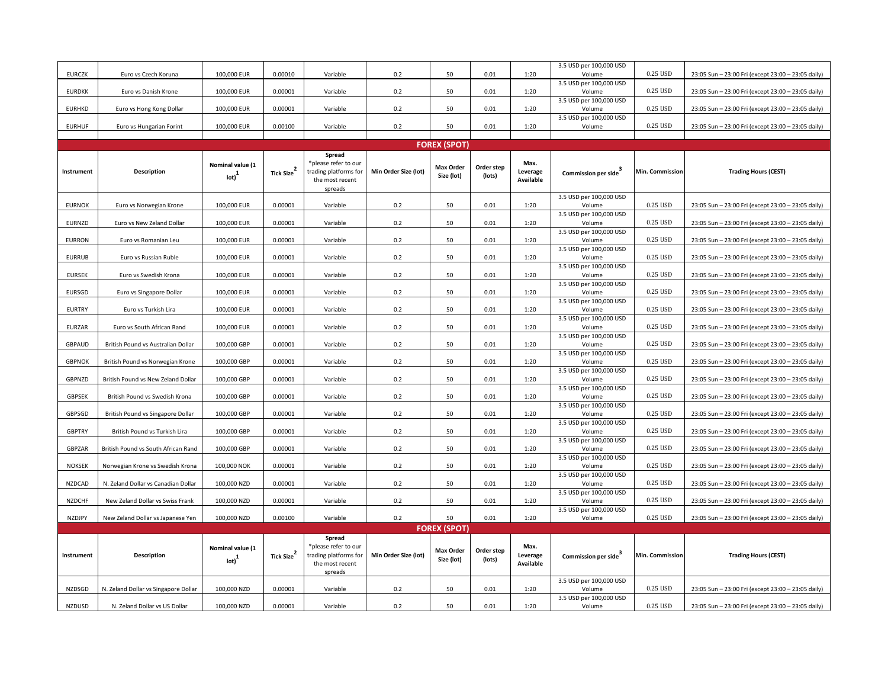| <b>EURCZK</b> | Euro vs Czech Koruna                 | 100,000 EUR                           | 0.00010                | Variable                                                                              | 0.2                  | 50                             | 0.01                 | 1:20                          | 3.5 USD per 100,000 USD<br>Volume | 0.25 USD        | 23:05 Sun - 23:00 Fri (except 23:00 - 23:05 daily) |
|---------------|--------------------------------------|---------------------------------------|------------------------|---------------------------------------------------------------------------------------|----------------------|--------------------------------|----------------------|-------------------------------|-----------------------------------|-----------------|----------------------------------------------------|
|               |                                      |                                       |                        |                                                                                       |                      |                                |                      |                               | 3.5 USD per 100,000 USD           |                 |                                                    |
| <b>EURDKK</b> | Euro vs Danish Krone                 | 100,000 EUR                           | 0.00001                | Variable                                                                              | 0.2                  | 50                             | 0.01                 | 1:20                          | Volume<br>3.5 USD per 100,000 USD | 0.25 USD        | 23:05 Sun - 23:00 Fri (except 23:00 - 23:05 daily) |
| <b>EURHKD</b> | Euro vs Hong Kong Dollar             | 100,000 EUR                           | 0.00001                | Variable                                                                              | 0.2                  | 50                             | 0.01                 | 1:20                          | Volume                            | 0.25 USD        | 23:05 Sun - 23:00 Fri (except 23:00 - 23:05 daily) |
|               |                                      | 100,000 EUR                           |                        |                                                                                       | 0.2                  | 50                             | 0.01                 | 1:20                          | 3.5 USD per 100,000 USD           | 0.25 USD        |                                                    |
| <b>EURHUF</b> | Euro vs Hungarian Forint             |                                       | 0.00100                | Variable                                                                              |                      |                                |                      |                               | Volume                            |                 | 23:05 Sun - 23:00 Fri (except 23:00 - 23:05 daily) |
|               |                                      |                                       |                        |                                                                                       |                      | <b>FOREX (SPOT)</b>            |                      |                               |                                   |                 |                                                    |
| Instrument    | Description                          | Nominal value (1<br>$_{\text{lot}}^1$ | Tick Size <sup>2</sup> | Spread<br>*please refer to our<br>trading platforms for<br>the most recent<br>spreads | Min Order Size (lot) | <b>Max Order</b><br>Size (lot) | Order step<br>(lots) | Max.<br>Leverage<br>Available | Commission per side               | Min. Commission | <b>Trading Hours (CEST)</b>                        |
| <b>EURNOK</b> | Euro vs Norwegian Krone              | 100,000 EUR                           | 0.00001                | Variable                                                                              | 0.2                  | 50                             | 0.01                 | 1:20                          | 3.5 USD per 100,000 USD<br>Volume | 0.25 USD        | 23:05 Sun - 23:00 Fri (except 23:00 - 23:05 daily) |
| <b>EURNZD</b> | Euro vs New Zeland Dollar            |                                       | 0.00001                | Variable                                                                              | 0.2                  | 50                             | 0.01                 | 1:20                          | 3.5 USD per 100,000 USD           | 0.25 USD        |                                                    |
|               |                                      | 100,000 EUR                           |                        |                                                                                       |                      |                                |                      |                               | Volume<br>3.5 USD per 100,000 USD |                 | 23:05 Sun - 23:00 Fri (except 23:00 - 23:05 daily) |
| <b>EURRON</b> | Euro vs Romanian Leu                 | 100,000 EUR                           | 0.00001                | Variable                                                                              | 0.2                  | 50                             | 0.01                 | 1:20                          | Volume                            | 0.25 USD        | 23:05 Sun - 23:00 Fri (except 23:00 - 23:05 daily) |
| <b>EURRUB</b> | Euro vs Russian Ruble                | 100,000 EUR                           | 0.00001                | Variable                                                                              | 0.2                  | 50                             | 0.01                 | 1:20                          | 3.5 USD per 100,000 USD<br>Volume | 0.25 USD        | 23:05 Sun - 23:00 Fri (except 23:00 - 23:05 daily) |
| <b>EURSEK</b> | Euro vs Swedish Krona                | 100,000 EUR                           | 0.00001                | Variable                                                                              | 0.2                  | 50                             | 0.01                 | 1:20                          | 3.5 USD per 100,000 USD<br>Volume | 0.25 USD        | 23:05 Sun - 23:00 Fri (except 23:00 - 23:05 daily) |
|               |                                      |                                       |                        |                                                                                       |                      |                                |                      |                               | 3.5 USD per 100,000 USD           |                 |                                                    |
| EURSGD        | Euro vs Singapore Dollar             | 100,000 EUR                           | 0.00001                | Variable                                                                              | 0.2                  | 50                             | 0.01                 | 1:20                          | Volume                            | 0.25 USD        | 23:05 Sun - 23:00 Fri (except 23:00 - 23:05 daily) |
| <b>EURTRY</b> | Euro vs Turkish Lira                 | 100,000 EUR                           | 0.00001                | Variable                                                                              | 0.2                  | 50                             | 0.01                 | 1:20                          | 3.5 USD per 100,000 USD<br>Volume | 0.25 USD        | 23:05 Sun - 23:00 Fri (except 23:00 - 23:05 daily) |
| <b>EURZAR</b> | Euro vs South African Rand           | 100,000 EUR                           | 0.00001                | Variable                                                                              | 0.2                  | 50                             | 0.01                 | 1:20                          | 3.5 USD per 100,000 USD<br>Volume | 0.25 USD        | 23:05 Sun - 23:00 Fri (except 23:00 - 23:05 daily) |
|               |                                      |                                       |                        |                                                                                       |                      |                                |                      |                               | 3.5 USD per 100,000 USD           |                 |                                                    |
| <b>GBPAUD</b> | British Pound vs Australian Dollar   | 100,000 GBP                           | 0.00001                | Variable                                                                              | 0.2                  | 50                             | 0.01                 | 1:20                          | Volume                            | 0.25 USD        | 23:05 Sun - 23:00 Fri (except 23:00 - 23:05 daily) |
| <b>GBPNOK</b> | British Pound vs Norwegian Krone     | 100,000 GBP                           | 0.00001                | Variable                                                                              | 0.2                  | 50                             | 0.01                 | 1:20                          | 3.5 USD per 100,000 USD<br>Volume | 0.25 USD        | 23:05 Sun - 23:00 Fri (except 23:00 - 23:05 daily) |
| GBPNZD        | British Pound vs New Zeland Dollar   | 100,000 GBP                           | 0.00001                | Variable                                                                              | 0.2                  | 50                             | 0.01                 | 1:20                          | 3.5 USD per 100,000 USD<br>Volume | 0.25 USD        | 23:05 Sun - 23:00 Fri (except 23:00 - 23:05 daily) |
|               |                                      |                                       |                        |                                                                                       |                      |                                |                      |                               | 3.5 USD per 100,000 USD           |                 |                                                    |
| <b>GBPSEK</b> | British Pound vs Swedish Krona       | 100,000 GBP                           | 0.00001                | Variable                                                                              | 0.2                  | 50                             | 0.01                 | 1:20                          | Volume<br>3.5 USD per 100,000 USD | 0.25 USD        | 23:05 Sun - 23:00 Fri (except 23:00 - 23:05 daily) |
| GBPSGD        | British Pound vs Singapore Dollar    | 100,000 GBP                           | 0.00001                | Variable                                                                              | 0.2                  | 50                             | 0.01                 | 1:20                          | Volume                            | 0.25 USD        | 23:05 Sun - 23:00 Fri (except 23:00 - 23:05 daily) |
|               |                                      |                                       |                        |                                                                                       |                      |                                |                      |                               | 3.5 USD per 100,000 USD           | 0.25 USD        |                                                    |
| <b>GBPTRY</b> | British Pound vs Turkish Lira        | 100,000 GBP                           | 0.00001                | Variable                                                                              | 0.2                  | 50                             | 0.01                 | 1:20                          | Volume<br>3.5 USD per 100,000 USD |                 | 23:05 Sun - 23:00 Fri (except 23:00 - 23:05 daily) |
| GBPZAR        | British Pound vs South African Rand  | 100,000 GBP                           | 0.00001                | Variable                                                                              | 0.2                  | 50                             | 0.01                 | 1:20                          | Volume                            | 0.25 USD        | 23:05 Sun - 23:00 Fri (except 23:00 - 23:05 daily) |
| <b>NOKSEK</b> | Norwegian Krone vs Swedish Krona     | 100,000 NOK                           | 0.00001                | Variable                                                                              | 0.2                  | 50                             | 0.01                 | 1:20                          | 3.5 USD per 100,000 USD<br>Volume | 0.25 USD        | 23:05 Sun - 23:00 Fri (except 23:00 - 23:05 daily) |
|               |                                      |                                       |                        |                                                                                       |                      |                                |                      |                               | 3.5 USD per 100,000 USD           |                 |                                                    |
| <b>NZDCAD</b> | N. Zeland Dollar vs Canadian Dollar  | 100,000 NZD                           | 0.00001                | Variable                                                                              | 0.2                  | 50                             | 0.01                 | 1:20                          | Volume<br>3.5 USD per 100,000 USD | 0.25 USD        | 23:05 Sun - 23:00 Fri (except 23:00 - 23:05 daily) |
| NZDCHF        | New Zeland Dollar vs Swiss Frank     | 100,000 NZD                           | 0.00001                | Variable                                                                              | 0.2                  | 50                             | 0.01                 | 1:20                          | Volume                            | 0.25 USD        | 23:05 Sun - 23:00 Fri (except 23:00 - 23:05 daily) |
| <b>NZDJPY</b> | New Zeland Dollar vs Japanese Yen    | 100,000 NZD                           | 0.00100                | Variable                                                                              | 0.2                  | 50                             | 0.01                 | 1:20                          | 3.5 USD per 100,000 USD<br>Volume | 0.25 USD        | 23:05 Sun - 23:00 Fri (except 23:00 - 23:05 daily) |
|               |                                      |                                       |                        |                                                                                       |                      | <b>FOREX (SPOT)</b>            |                      |                               |                                   |                 |                                                    |
| Instrument    | Description                          | Nominal value (1<br>$_{\text{lot}}^1$ | Tick Size <sup>2</sup> | Spread<br>*please refer to our<br>trading platforms for<br>the most recent<br>spreads | Min Order Size (lot) | <b>Max Order</b><br>Size (lot) | Order step<br>(lots) | Max.<br>Leverage<br>Available | Commission per side               | Min. Commission | <b>Trading Hours (CEST)</b>                        |
| NZDSGD        | N. Zeland Dollar vs Singapore Dollar | 100,000 NZD                           | 0.00001                | Variable                                                                              | 0.2                  | 50                             | 0.01                 | 1:20                          | 3.5 USD per 100,000 USD<br>Volume | 0.25 USD        | 23:05 Sun - 23:00 Fri (except 23:00 - 23:05 daily) |
| NZDUSD        | N. Zeland Dollar vs US Dollar        | 100,000 NZD                           | 0.00001                | Variable                                                                              | 0.2                  | 50                             | 0.01                 | 1:20                          | 3.5 USD per 100,000 USD<br>Volume | 0.25 USD        | 23:05 Sun - 23:00 Fri (except 23:00 - 23:05 daily) |
|               |                                      |                                       |                        |                                                                                       |                      |                                |                      |                               |                                   |                 |                                                    |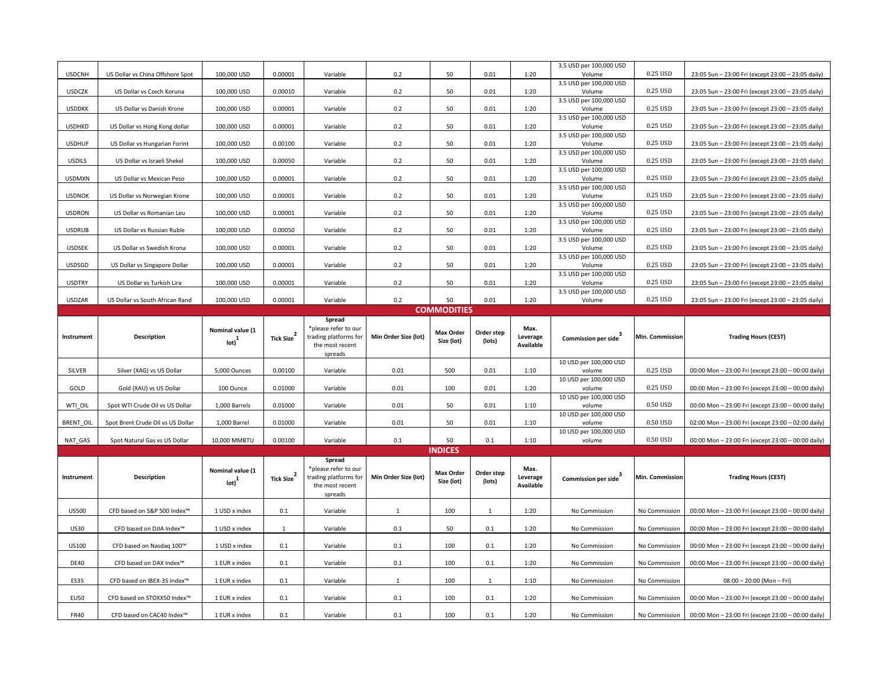| <b>USDCNH</b>    | US Dollar vs China Offshore Spot  | 100,000 USD                                     | 0.00001                | Variable                                                                   | 0.2                  | 50                             | 0.01                 | 1:20                          | 3.5 USD per 100,000 USD<br>Volume | 0.25 USD               | 23:05 Sun - 23:00 Fri (except 23:00 - 23:05 daily) |  |
|------------------|-----------------------------------|-------------------------------------------------|------------------------|----------------------------------------------------------------------------|----------------------|--------------------------------|----------------------|-------------------------------|-----------------------------------|------------------------|----------------------------------------------------|--|
|                  |                                   |                                                 |                        |                                                                            |                      |                                |                      |                               | 3.5 USD per 100,000 USD           |                        |                                                    |  |
| <b>USDCZK</b>    | US Dollar vs Czech Koruna         | 100,000 USD                                     | 0.00010                | Variable                                                                   | 0.2                  | 50                             | 0.01                 | 1:20                          | Volume<br>3.5 USD per 100,000 USD | 0.25 USD               | 23:05 Sun - 23:00 Fri (except 23:00 - 23:05 daily) |  |
| <b>USDDKK</b>    | US Dollar vs Danish Krone         | 100,000 USD                                     | 0.00001                | Variable                                                                   | 0.2                  | 50                             | 0.01                 | 1:20                          | Volume                            | 0.25 USD               | 23:05 Sun - 23:00 Fri (except 23:00 - 23:05 daily) |  |
|                  |                                   |                                                 |                        |                                                                            |                      |                                |                      |                               | 3.5 USD per 100,000 USD           |                        |                                                    |  |
| <b>USDHKD</b>    | US Dollar vs Hong Kong dollar     | 100,000 USD                                     | 0.00001                | Variable                                                                   | 0.2                  | 50                             | 0.01                 | 1:20                          | Volume<br>3.5 USD per 100,000 USD | 0.25 USD               | 23:05 Sun - 23:00 Fri (except 23:00 - 23:05 daily) |  |
| <b>USDHUF</b>    | US Dollar vs Hungarian Forint     | 100,000 USD                                     | 0.00100                | Variable                                                                   | 0.2                  | 50                             | 0.01                 | 1:20                          | Volume                            | 0.25 USD               | 23:05 Sun - 23:00 Fri (except 23:00 - 23:05 daily) |  |
| <b>USDILS</b>    | US Dollar vs Israeli Shekel       | 100,000 USD                                     | 0.00050                | Variable                                                                   | 0.2                  | 50                             | 0.01                 | 1:20                          | 3.5 USD per 100,000 USD<br>Volume | 0.25 USD               | 23:05 Sun - 23:00 Fri (except 23:00 - 23:05 daily) |  |
|                  |                                   |                                                 |                        |                                                                            |                      |                                |                      |                               | 3.5 USD per 100,000 USD           |                        |                                                    |  |
| <b>USDMXN</b>    | US Dollar vs Mexican Peso         | 100,000 USD                                     | 0.00001                | Variable                                                                   | 0.2                  | 50                             | 0.01                 | 1:20                          | Volume                            | 0.25 USD               | 23:05 Sun - 23:00 Fri (except 23:00 - 23:05 daily) |  |
| <b>USDNOK</b>    | US Dollar vs Norwegian Krone      | 100,000 USD                                     | 0.00001                | Variable                                                                   | 0.2                  | 50                             | 0.01                 | 1:20                          | 3.5 USD per 100,000 USD<br>Volume | 0.25 USD               | 23:05 Sun - 23:00 Fri (except 23:00 - 23:05 daily) |  |
|                  |                                   |                                                 |                        |                                                                            |                      |                                |                      |                               | 3.5 USD per 100,000 USD           |                        |                                                    |  |
| <b>USDRON</b>    | US Dollar vs Romanian Leu         | 100,000 USD                                     | 0.00001                | Variable                                                                   | 0.2                  | 50                             | 0.01                 | 1:20                          | Volume<br>3.5 USD per 100,000 USD | 0.25 USD               | 23:05 Sun - 23:00 Fri (except 23:00 - 23:05 daily) |  |
| <b>USDRUB</b>    | US Dollar vs Russian Ruble        | 100,000 USD                                     | 0.00050                | Variable                                                                   | 0.2                  | 50                             | 0.01                 | 1:20                          | Volume                            | 0.25 USD               | 23:05 Sun - 23:00 Fri (except 23:00 - 23:05 daily) |  |
| <b>USDSEK</b>    | US Dollar vs Swedish Krona        | 100,000 USD                                     | 0.00001                | Variable                                                                   | 0.2                  | 50                             | 0.01                 | 1:20                          | 3.5 USD per 100,000 USD<br>Volume | 0.25 USD               | 23:05 Sun - 23:00 Fri (except 23:00 - 23:05 daily) |  |
|                  |                                   |                                                 |                        |                                                                            |                      |                                |                      |                               | 3.5 USD per 100,000 USD           |                        |                                                    |  |
| USDSGD           | US Dollar vs Singapore Dollar     | 100,000 USD                                     | 0.00001                | Variable                                                                   | 0.2                  | 50                             | 0.01                 | 1:20                          | Volume                            | 0.25 USD               | 23:05 Sun - 23:00 Fri (except 23:00 - 23:05 daily) |  |
| <b>USDTRY</b>    | US Dollar vs Turkish Lira         | 100,000 USD                                     | 0.00001                | Variable                                                                   | 0.2                  | 50                             | 0.01                 | 1:20                          | 3.5 USD per 100,000 USD<br>Volume | 0.25 USD               | 23:05 Sun - 23:00 Fri (except 23:00 - 23:05 daily) |  |
|                  |                                   |                                                 |                        |                                                                            |                      |                                |                      |                               | 3.5 USD per 100,000 USD           |                        |                                                    |  |
| <b>USDZAR</b>    | US Dollar vs South African Rand   | 100,000 USD                                     | 0.00001                | Variable                                                                   | 0.2                  | 50                             | 0.01                 | 1:20                          | Volume                            | 0.25 USD               | 23:05 Sun - 23:00 Fri (except 23:00 - 23:05 daily) |  |
|                  | <b>COMMODITIES</b><br>Spread      |                                                 |                        |                                                                            |                      |                                |                      |                               |                                   |                        |                                                    |  |
| Instrument       | Description                       | Nominal value (1                                | Tick Size $^2$         | *please refer to our<br>trading platforms for                              | Min Order Size (lot) | <b>Max Order</b>               | Order step           | Max.<br>Leverage              | Commission per side <sup>3</sup>  | <b>Min. Commission</b> | <b>Trading Hours (CEST)</b>                        |  |
|                  |                                   | $_{\text{lot}}\text{)}^{1}$                     |                        | the most recent                                                            |                      | Size (lot)                     | (lots)               | Available                     |                                   |                        |                                                    |  |
|                  |                                   |                                                 |                        | spreads                                                                    |                      |                                |                      |                               | 10 USD per 100,000 USD            |                        |                                                    |  |
| SILVER           | Silver (XAG) vs US Dollar         | 5,000 Ounces                                    | 0.00100                | Variable                                                                   | 0.01                 | 500                            | 0.01                 | 1:10                          | volume                            | 0.25 USD               | 00:00 Mon - 23:00 Fri (except 23:00 - 00:00 daily) |  |
| GOLD             | Gold (XAU) vs US Dollar           | 100 Ounce                                       | 0.01000                | Variable                                                                   | 0.01                 | 100                            | 0.01                 | 1:20                          | 10 USD per 100,000 USD<br>volume  | 0.25 USD               | 00:00 Mon - 23:00 Fri (except 23:00 - 00:00 daily) |  |
|                  |                                   |                                                 |                        |                                                                            |                      |                                |                      |                               | 10 USD per 100,000 USD            |                        |                                                    |  |
| WTI OIL          | Spot WTI Crude Oil vs US Dollar   | 1,000 Barrels                                   | 0.01000                | Variable                                                                   | 0.01                 | 50                             | 0.01                 | 1:10                          | volume<br>10 USD per 100,000 USD  | 0.50 USD               | 00:00 Mon - 23:00 Fri (except 23:00 - 00:00 daily) |  |
| <b>BRENT OIL</b> | Spot Brent Crude Oil vs US Dollar | 1,000 Barrel                                    | 0.01000                | Variable                                                                   | 0.01                 | 50                             | 0.01                 | 1:10                          | volume                            | 0.50 USD               | 02:00 Mon - 23:00 Fri (except 23:00 - 02:00 daily) |  |
|                  |                                   |                                                 |                        |                                                                            |                      |                                |                      |                               | 10 USD per 100,000 USD            |                        |                                                    |  |
| NAT GAS          | Spot Natural Gas vs US Dollar     | 10,000 MMBTU                                    | 0.00100                | Variable                                                                   | 0.1                  | 50<br><b>INDICES</b>           | 0.1                  | 1:10                          | volume                            | 0.50 USD               | 00:00 Mon - 23:00 Fri (except 23:00 - 00:00 daily) |  |
| Instrument       | Description                       | Nominal value (1<br>$_{\text{lot}}\text{)}^{1}$ | Tick Size <sup>2</sup> | Spread<br>*please refer to our<br>trading platforms for<br>the most recent | Min Order Size (lot) | <b>Max Order</b><br>Size (lot) | Order step<br>(lots) | Max.<br>Leverage<br>Available | Commission per side               | Min. Commission        | <b>Trading Hours (CEST)</b>                        |  |
|                  |                                   |                                                 |                        | spreads                                                                    |                      |                                |                      |                               |                                   |                        |                                                    |  |
| <b>US500</b>     | CFD based on S&P 500 Index™       | 1 USD x index                                   | 0.1                    | Variable                                                                   | 1                    | 100                            | 1                    | 1:20                          | No Commission                     | No Commission          | 00:00 Mon - 23:00 Fri (except 23:00 - 00:00 daily) |  |
| <b>US30</b>      | CFD based on DJIA Index™          | 1 USD x index                                   | $\mathbf{1}$           | Variable                                                                   | 0.1                  | 50                             | 0.1                  | 1:20                          | No Commission                     | No Commission          | 00:00 Mon - 23:00 Fri (except 23:00 - 00:00 daily) |  |
| US100            | CFD based on Nasdaq 100™          | 1 USD x index                                   | 0.1                    | Variable                                                                   | 0.1                  | 100                            | 0.1                  | 1:20                          | No Commission                     | No Commission          | 00:00 Mon - 23:00 Fri (except 23:00 - 00:00 daily) |  |
| <b>DE40</b>      | CFD based on DAX Index™           | 1 EUR x index                                   | 0.1                    | Variable                                                                   | 0.1                  | 100                            | 0.1                  | 1:20                          | No Commission                     | No Commission          | 00:00 Mon - 23:00 Fri (except 23:00 - 00:00 daily) |  |
| <b>ES35</b>      | CFD based on IBEX-35 Index™       | 1 EUR x index                                   | 0.1                    | Variable                                                                   | $\mathbf{1}$         | 100                            | $\mathbf{1}$         | 1:10                          | No Commission                     | No Commission          | $08:00 - 20:00$ (Mon - Fri)                        |  |
| <b>EU50</b>      | CFD based on STOXX50 Index™       | 1 EUR x index                                   | 0.1                    | Variable                                                                   | 0.1                  | 100                            | 0.1                  | 1:20                          | No Commission                     | No Commission          | 00:00 Mon - 23:00 Fri (except 23:00 - 00:00 daily) |  |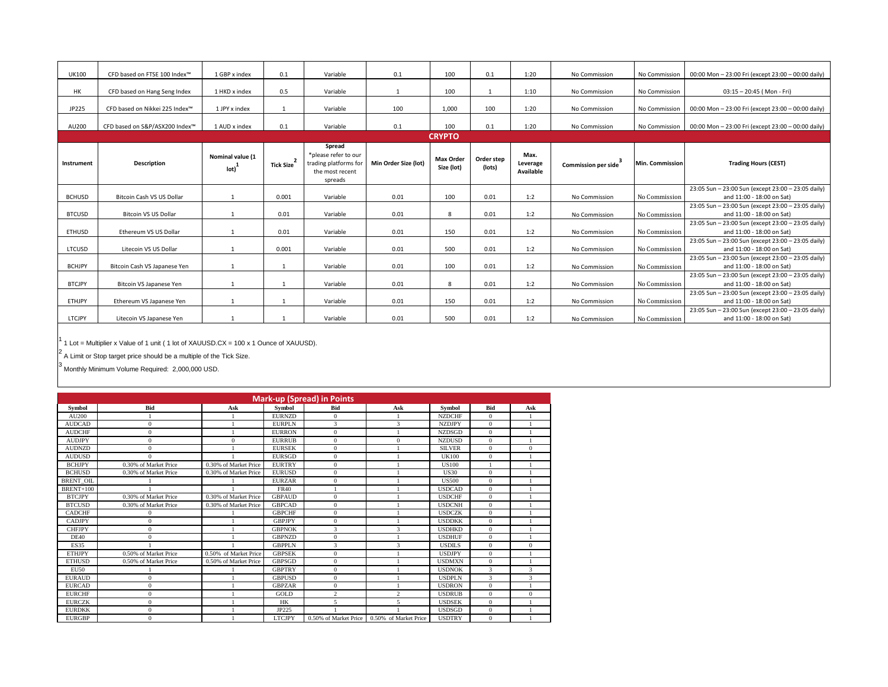| <b>UK100</b>  | CFD based on FTSE 100 Index™   | 1 GBP x index                    | 0.1       | Variable                                                                              | 0.1                  | 100                            | 0.1                  | 1:20                          | No Commission                    | No Commission   | 00:00 Mon - 23:00 Fri (except 23:00 - 00:00 daily)                              |
|---------------|--------------------------------|----------------------------------|-----------|---------------------------------------------------------------------------------------|----------------------|--------------------------------|----------------------|-------------------------------|----------------------------------|-----------------|---------------------------------------------------------------------------------|
| <b>HK</b>     | CFD based on Hang Seng Index   | 1 HKD x index                    | 0.5       | Variable                                                                              |                      | 100                            |                      | 1:10                          | No Commission                    | No Commission   | $03:15 - 20:45$ (Mon - Fri)                                                     |
| JP225         | CFD based on Nikkei 225 Index™ | 1 JPY x index                    | 1         | Variable                                                                              | 100                  | 1,000                          | 100                  | 1:20                          | No Commission                    | No Commission   | 00:00 Mon - 23:00 Fri (except 23:00 - 00:00 daily)                              |
| AU200         | CFD based on S&P/ASX200 Index™ | 1 AUD x index                    | 0.1       | Variable                                                                              | 0.1                  | 100                            | 0.1                  | 1:20                          | No Commission                    | No Commission   | 00:00 Mon - 23:00 Fri (except 23:00 - 00:00 daily)                              |
|               |                                |                                  |           |                                                                                       |                      | <b>CRYPTO</b>                  |                      |                               |                                  |                 |                                                                                 |
| Instrument    | <b>Description</b>             | Nominal value (1<br>$\text{Iot}$ | Tick Size | Spread<br>*please refer to our<br>trading platforms for<br>the most recent<br>spreads | Min Order Size (lot) | <b>Max Order</b><br>Size (lot) | Order step<br>(lots) | Max.<br>Leverage<br>Available | Commission per side <sup>3</sup> | Min. Commission | <b>Trading Hours (CEST)</b>                                                     |
| <b>BCHUSD</b> | Bitcoin Cash VS US Dollar      | $\mathbf{1}$                     | 0.001     | Variable                                                                              | 0.01                 | 100                            | 0.01                 | 1:2                           | No Commission                    | No Commission   | 23:05 Sun - 23:00 Sun (except 23:00 - 23:05 daily)<br>and 11:00 - 18:00 on Sat) |
| <b>BTCUSD</b> | <b>Bitcoin VS US Dollar</b>    |                                  | 0.01      | Variable                                                                              | 0.01                 | 8                              | 0.01                 | 1:2                           | No Commission                    | No Commission   | 23:05 Sun - 23:00 Sun (except 23:00 - 23:05 daily)<br>and 11:00 - 18:00 on Sat) |
| <b>ETHUSD</b> | Ethereum VS US Dollar          | $\mathbf{1}$                     | 0.01      | Variable                                                                              | 0.01                 | 150                            | 0.01                 | 1:2                           | No Commission                    | No Commission   | 23:05 Sun - 23:00 Sun (except 23:00 - 23:05 daily)<br>and 11:00 - 18:00 on Sat) |
| LTCUSD        | Litecoin VS US Dollar          |                                  | 0.001     | Variable                                                                              | 0.01                 | 500                            | 0.01                 | 1:2                           | No Commission                    | No Commission   | 23:05 Sun - 23:00 Sun (except 23:00 - 23:05 daily)<br>and 11:00 - 18:00 on Sat) |
| <b>BCHJPY</b> | Bitcoin Cash VS Japanese Yen   |                                  | 1         | Variable                                                                              | 0.01                 | 100                            | 0.01                 | 1:2                           | No Commission                    | No Commission   | 23:05 Sun - 23:00 Sun (except 23:00 - 23:05 daily)<br>and 11:00 - 18:00 on Sat) |
| <b>BTCJPY</b> | Bitcoin VS Japanese Yen        |                                  |           | Variable                                                                              | 0.01                 | 8                              | 0.01                 | 1:2                           | No Commission                    | No Commission   | 23:05 Sun - 23:00 Sun (except 23:00 - 23:05 daily)<br>and 11:00 - 18:00 on Sat) |
| ETHJPY        | Ethereum VS Japanese Yen       |                                  |           | Variable                                                                              | 0.01                 | 150                            | 0.01                 | 1:2                           | No Commission                    | No Commission   | 23:05 Sun - 23:00 Sun (except 23:00 - 23:05 daily)<br>and 11:00 - 18:00 on Sat) |
| LTCJPY        | Litecoin VS Japanese Yen       |                                  |           | Variable                                                                              | 0.01                 | 500                            | 0.01                 | 1:2                           | No Commission                    | No Commission   | 23:05 Sun - 23:00 Sun (except 23:00 - 23:05 daily)<br>and 11:00 - 18:00 on Sat) |
|               |                                |                                  |           |                                                                                       |                      |                                |                      |                               |                                  |                 |                                                                                 |

<sup>1</sup> 1 Lot = Multiplier x Value of 1 unit ( 1 lot of XAUUSD.CX = 100 x 1 Ounce of XAUUSD).

 $2$  A Limit or Stop target price should be a multiple of the Tick Size.

3 Monthly Minimum Volume Required: 2,000,000 USD.

|                  | <b>Mark-up (Spread) in Points</b> |                       |               |                       |                       |               |                |              |  |  |  |  |  |
|------------------|-----------------------------------|-----------------------|---------------|-----------------------|-----------------------|---------------|----------------|--------------|--|--|--|--|--|
| <b>Symbol</b>    | <b>Bid</b>                        | Ask                   | Symbol        | <b>Bid</b>            | Ask                   | Symbol        | Bid            | Ask          |  |  |  |  |  |
| AU200            | 1                                 |                       | <b>EURNZD</b> | $\Omega$              |                       | <b>NZDCHF</b> | $\Omega$       |              |  |  |  |  |  |
| <b>AUDCAD</b>    | $\mathbf{0}$                      |                       | <b>EURPLN</b> | 3                     | 3                     | <b>NZDJPY</b> | $\Omega$       |              |  |  |  |  |  |
| <b>AUDCHF</b>    | $\mathbf{0}$                      |                       | <b>EURRON</b> | $\mathbf{0}$          |                       | <b>NZDSGD</b> | $\mathbf{0}$   |              |  |  |  |  |  |
| <b>AUDJPY</b>    | $\mathbf{0}$                      | $\mathbf{0}$          | <b>EURRUB</b> | $\mathbf{0}$          | $\mathbf{0}$          | <b>NZDUSD</b> | $\overline{0}$ |              |  |  |  |  |  |
| <b>AUDNZD</b>    | $\overline{0}$                    |                       | <b>EURSEK</b> | $\bf{0}$              |                       | <b>SILVER</b> | $\overline{0}$ | $\mathbf{0}$ |  |  |  |  |  |
| <b>AUDUSD</b>    | $\Omega$                          |                       | <b>EURSGD</b> | $\mathbf{0}$          |                       | <b>UK100</b>  | $\overline{0}$ |              |  |  |  |  |  |
| <b>BCHJPY</b>    | 0.30% of Market Price             | 0.30% of Market Price | <b>EURTRY</b> | $\mathbf{0}$          |                       | <b>US100</b>  |                |              |  |  |  |  |  |
| <b>BCHUSD</b>    | 0.30% of Market Price             | 0.30% of Market Price | <b>EURUSD</b> | $\mathbf{0}$          |                       | <b>US30</b>   | $\overline{0}$ |              |  |  |  |  |  |
| <b>BRENT OIL</b> |                                   |                       | <b>EURZAR</b> | $\mathbf{0}$          |                       | US500         | $\Omega$       |              |  |  |  |  |  |
| <b>BRENT+100</b> |                                   |                       | <b>FR40</b>   |                       |                       | <b>USDCAD</b> | $\Omega$       |              |  |  |  |  |  |
| <b>BTCJPY</b>    | 0.30% of Market Price             | 0.30% of Market Price | <b>GBPAUD</b> | $\mathbf{0}$          |                       | <b>USDCHF</b> | $\Omega$       |              |  |  |  |  |  |
| <b>BTCUSD</b>    | 0.30% of Market Price             | 0.30% of Market Price | <b>GBPCAD</b> | $\mathbf{0}$          |                       | <b>USDCNH</b> | $\Omega$       |              |  |  |  |  |  |
| <b>CADCHF</b>    | 0                                 |                       | <b>GBPCHF</b> | $\mathbf{0}$          |                       | <b>USDCZK</b> | $\Omega$       |              |  |  |  |  |  |
| <b>CADJPY</b>    | $\mathbf{0}$                      |                       | <b>GBPJPY</b> | $\mathbf{0}$          |                       | <b>USDDKK</b> | $\overline{0}$ |              |  |  |  |  |  |
| <b>CHFJPY</b>    | $\mathbf{0}$                      |                       | <b>GBPNOK</b> | 3                     | 3                     | <b>USDHKD</b> | $\Omega$       |              |  |  |  |  |  |
| <b>DE40</b>      | $\mathbf{0}$                      |                       | <b>GBPNZD</b> | $\mathbf{0}$          |                       | <b>USDHUF</b> | $\Omega$       |              |  |  |  |  |  |
| <b>ES35</b>      |                                   |                       | <b>GBPPLN</b> | 3                     | 3                     | <b>USDILS</b> | $\Omega$       | $\mathbf{0}$ |  |  |  |  |  |
| <b>ETHJPY</b>    | 0.50% of Market Price             | 0.50% of Market Price | <b>GBPSEK</b> | $\Omega$              |                       | <b>USDJPY</b> | $\Omega$       |              |  |  |  |  |  |
| <b>ETHUSD</b>    | 0.50% of Market Price             | 0.50% of Market Price | <b>GBPSGD</b> | $\mathbf{0}$          |                       | <b>USDMXN</b> | $\overline{0}$ |              |  |  |  |  |  |
| <b>EU50</b>      |                                   |                       | <b>GBPTRY</b> | $\mathbf{0}$          |                       | <b>USDNOK</b> | 3              | 3            |  |  |  |  |  |
| <b>EURAUD</b>    | $\mathbf{0}$                      |                       | <b>GBPUSD</b> | $\mathbf{0}$          |                       | <b>USDPLN</b> | 3              | 3            |  |  |  |  |  |
| <b>EURCAD</b>    | $\mathbf{0}$                      |                       | <b>GBPZAR</b> | $\mathbf{0}$          |                       | <b>USDRON</b> | $\overline{0}$ |              |  |  |  |  |  |
| <b>EURCHF</b>    | $\mathbf{0}$                      |                       | GOLD          | $\overline{c}$        | $\mathfrak{D}$        | <b>USDRUB</b> | $\Omega$       | $\mathbf{0}$ |  |  |  |  |  |
| <b>EURCZK</b>    | $\mathbf{0}$                      |                       | <b>HK</b>     | 5                     | 5                     | <b>USDSEK</b> | $\Omega$       |              |  |  |  |  |  |
| <b>EURDKK</b>    | $\mathbf{0}$                      |                       | JP225         |                       |                       | <b>USDSGD</b> | $\overline{0}$ |              |  |  |  |  |  |
| <b>EURGBP</b>    | $\Omega$                          |                       | <b>LTCJPY</b> | 0.50% of Market Price | 0.50% of Market Price | <b>USDTRY</b> | $\Omega$       |              |  |  |  |  |  |